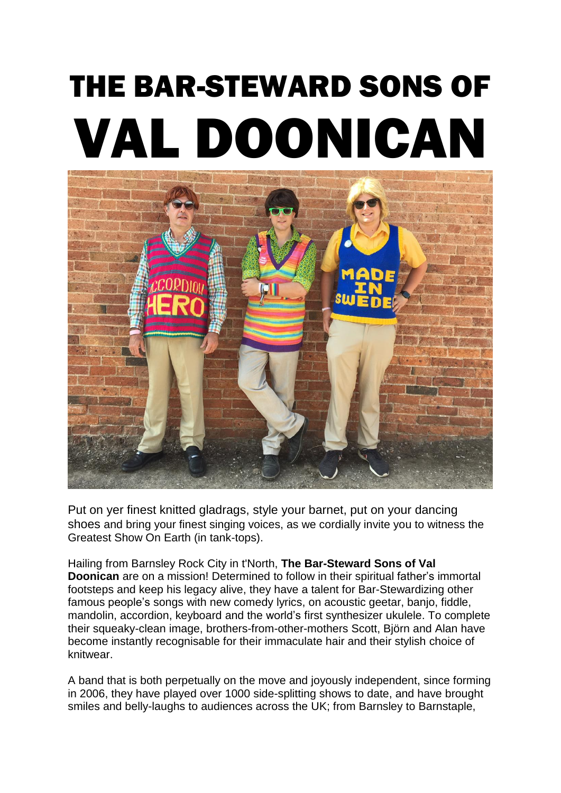# THE BAR-STEWARD SONS OF VAL DOONICAN



Put on yer finest knitted gladrags, style your barnet, put on your dancing shoes and bring your finest singing voices, as we cordially invite you to witness the Greatest Show On Earth (in tank-tops).

Hailing from Barnsley Rock City in t'North, **The Bar-Steward Sons of Val Doonican** are on a mission! Determined to follow in their spiritual father's immortal footsteps and keep his legacy alive, they have a talent for Bar-Stewardizing other famous people's songs with new comedy lyrics, on acoustic geetar, banjo, fiddle, mandolin, accordion, keyboard and the world's first synthesizer ukulele. To complete their squeaky-clean image, brothers-from-other-mothers Scott, Björn and Alan have become instantly recognisable for their immaculate hair and their stylish choice of knitwear.

A band that is both perpetually on the move and joyously independent, since forming in 2006, they have played over 1000 side-splitting shows to date, and have brought smiles and belly-laughs to audiences across the UK; from Barnsley to Barnstaple,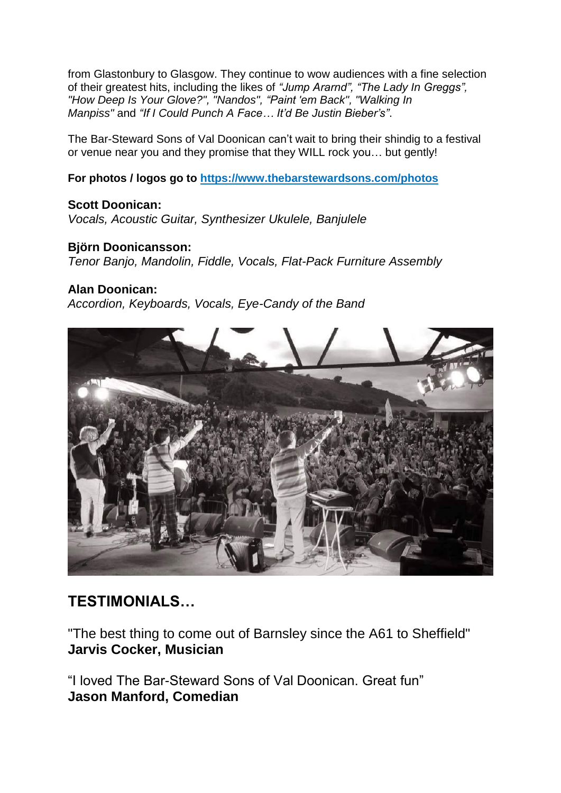from Glastonbury to Glasgow. They continue to wow audiences with a fine selection of their greatest hits, including the likes of *"Jump Ararnd", "The Lady In Greggs", "How Deep Is Your Glove?", "Nandos", "Paint 'em Back", "Walking In Manpiss"* and *"If I Could Punch A Face… It'd Be Justin Bieber's"*.

The Bar-Steward Sons of Val Doonican can't wait to bring their shindig to a festival or venue near you and they promise that they WILL rock you… but gently!

**For photos / logos go to <https://www.thebarstewardsons.com/photos>**

**Scott Doonican:**  *Vocals, Acoustic Guitar, Synthesizer Ukulele, Banjulele* 

### **Björn Doonicansson:**

*Tenor Banjo, Mandolin, Fiddle, Vocals, Flat-Pack Furniture Assembly* 

### **Alan Doonican:**

*Accordion, Keyboards, Vocals, Eye-Candy of the Band* 



# **TESTIMONIALS…**

"The best thing to come out of Barnsley since the A61 to Sheffield" **Jarvis Cocker, Musician**

"I loved The Bar-Steward Sons of Val Doonican. Great fun" **Jason Manford, Comedian**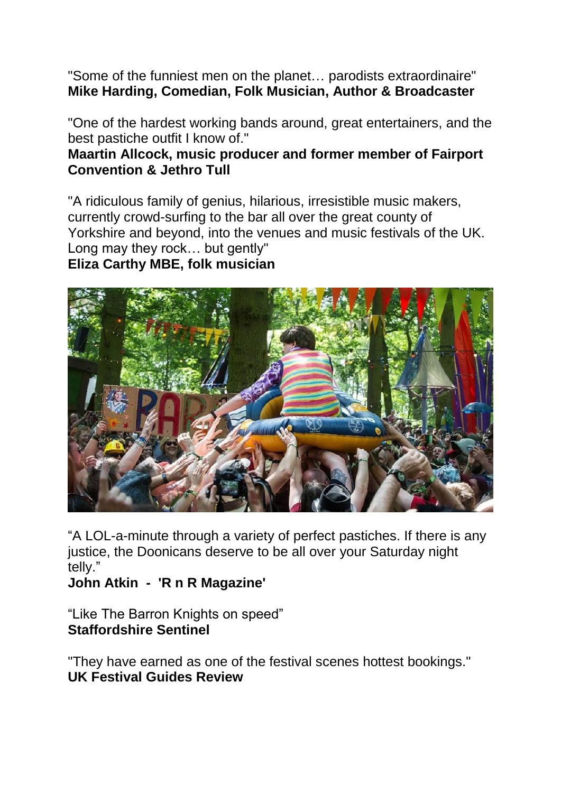"Some of the funniest men on the planet… parodists extraordinaire" **Mike Harding, Comedian, Folk Musician, Author & Broadcaster** 

"One of the hardest working bands around, great entertainers, and the best pastiche outfit I know of."

## **Maartin Allcock, music producer and former member of Fairport Convention & Jethro Tull**

"A ridiculous family of genius, hilarious, irresistible music makers, currently crowd-surfing to the bar all over the great county of Yorkshire and beyond, into the venues and music festivals of the UK. Long may they rock… but gently" **Eliza Carthy MBE, folk musician**



"A LOL-a-minute through a variety of perfect pastiches. If there is any justice, the Doonicans deserve to be all over your Saturday night telly."

**John Atkin - 'R n R Magazine'**

"Like The Barron Knights on speed" **Staffordshire Sentinel**

"They have earned as one of the festival scenes hottest bookings." **UK Festival Guides Review**